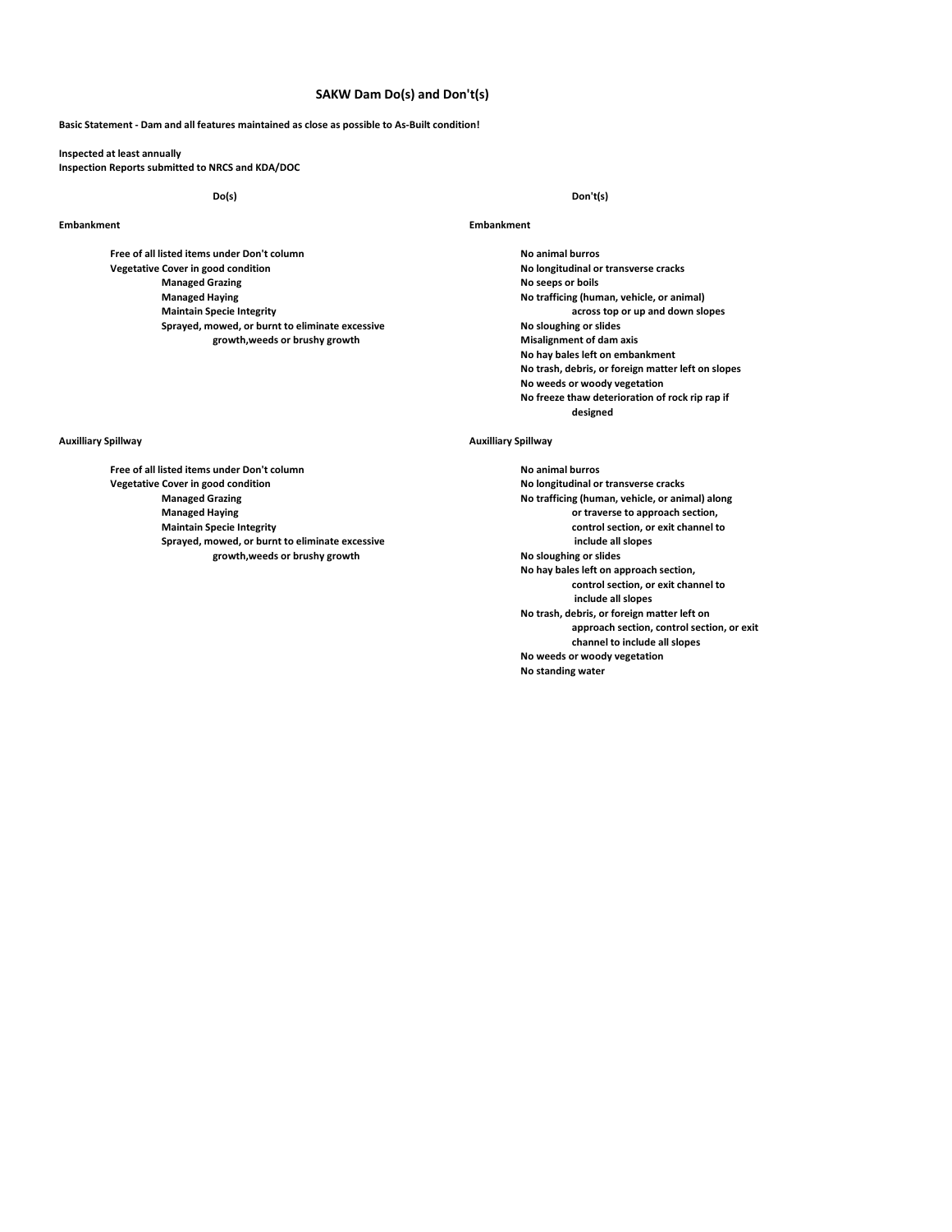# **SAKW Dam Do(s) and Don't(s)**

# **Basic Statement - Dam and all features maintained as close as possible to As-Built condition!**

**Inspected at least annually Inspection Reports submitted to NRCS and KDA/DOC**

**Free of all listed items under Don't column**<br> **No animal burros**<br> **No longitudinal or transverse cracks**<br> **No longitudinal or transverse cracks Vegetative Cover in good condition Managed Grazing No seeps or boils Managed Haying No trafficing (human, vehicle, or animal) Maintain Specie Integrity across top or up and down slopes Sprayed, mowed, or burnt to eliminate excessive growth,weeds or brushy growth Misalignment of dam axis** 

**Do(s) Don't(s)**

## **Embankment Embankment**

**No hay bales left on embankment No trash, debris, or foreign matter left on slopes No weeds or woody vegetation No freeze thaw deterioration of rock rip rap if designed**

**Managed Grazing No trafficing (human, vehicle, or animal) along No hay bales left on approach section, control section, or exit channel to include all slopes No trash, debris, or foreign matter left on approach section, control section, or exit channel to include all slopes No weeds or woody vegetation No standing water**

## **Auxilliary Spillway Auxilliary Spillway**

**Free of all listed items under Don't column No animal burros No animal burros Vegetative Cover in good condition No longitudinal or transverse cracks Managed Haying or traverse to approach section, Maintain Specie Integrity control section, or exit channel to** Sprayed, mowed, or burnt to eliminate excessive **include all slopes** include all slopes growth, weeds or brushy growth  $growth, weeds$  or brushy growth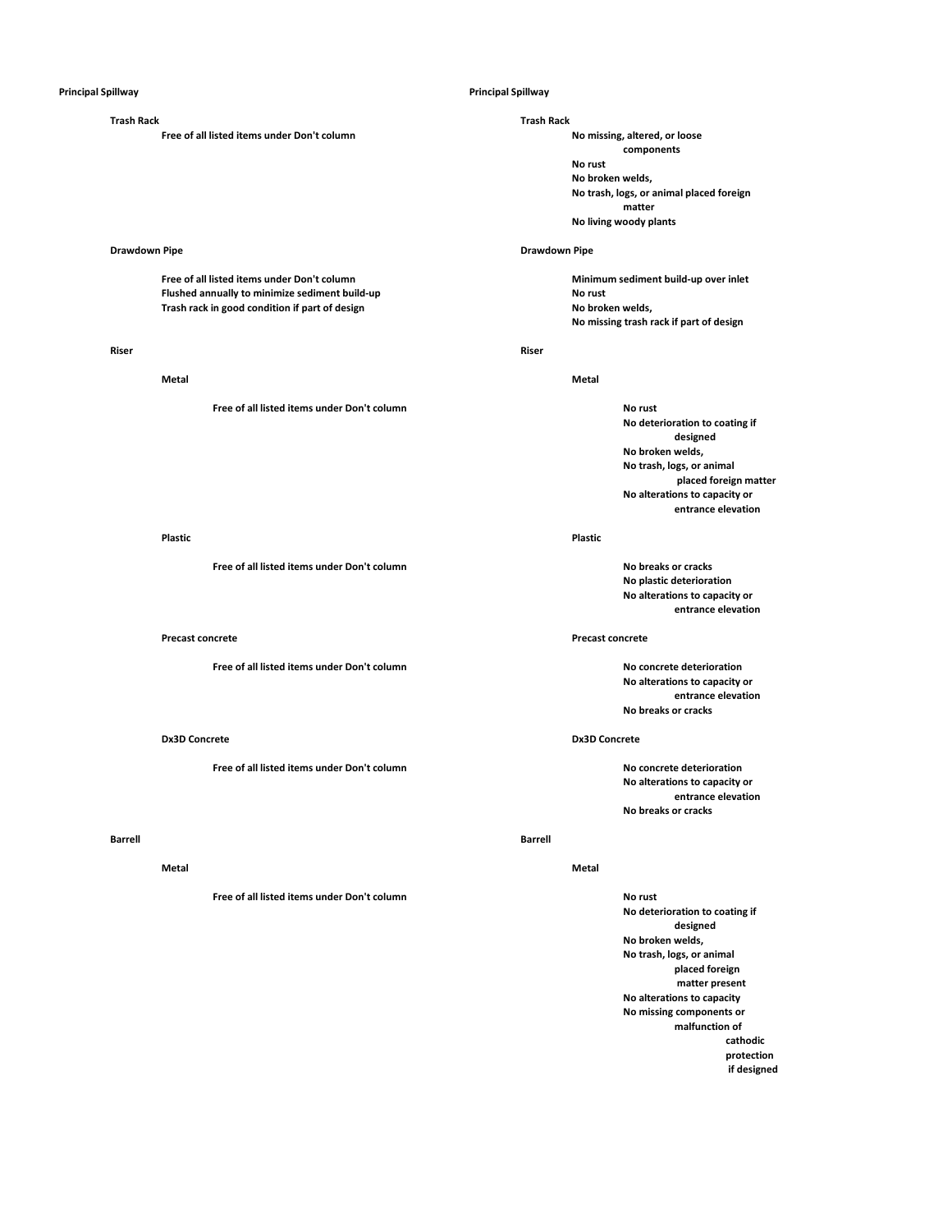**Free of all listed items under Don't column** 

# **Drawdown Pipe Drawdown Pipe**

**Flushed annually to minimize sediment build-up No rust Trash rack in good condition if part of design No broken welds,** 

### **Riser Riser**

**Free of all listed items under Don't column No rust** 

### **Plastic Plastic**

**Free of all listed items under Don't column No breaks or cracks**

**Free of all listed items under Don't column No concrete deterioration**

**Free of all listed items under Don't column No concrete deterioration**

### **Barrell Barrell**

**Free of all listed items under Don't column No rust** 

**Trash Rack Trash Rack components No rust No broken welds, No trash, logs, or animal placed foreign matter No living woody plants**

**Free of all listed items under Don't column Minimum sediment build-up over inlet No missing trash rack if part of design**

**Metal Metal**

**No deterioration to coating if designed No broken welds, No trash, logs, or animal placed foreign matter No alterations to capacity or entrance elevation**

**No plastic deterioration No alterations to capacity or entrance elevation**

## **Precast concrete Precast concrete**

**No alterations to capacity or entrance elevation No breaks or cracks**

## **Dx3D Concrete Dx3D Concrete**

**No alterations to capacity or entrance elevation No breaks or cracks**

### **Metal Metal**

**No deterioration to coating if designed No broken welds, No trash, logs, or animal placed foreign matter present No alterations to capacity No missing components or malfunction of cathodic protection if designed**

## **Principal Spillway Principal Spillway**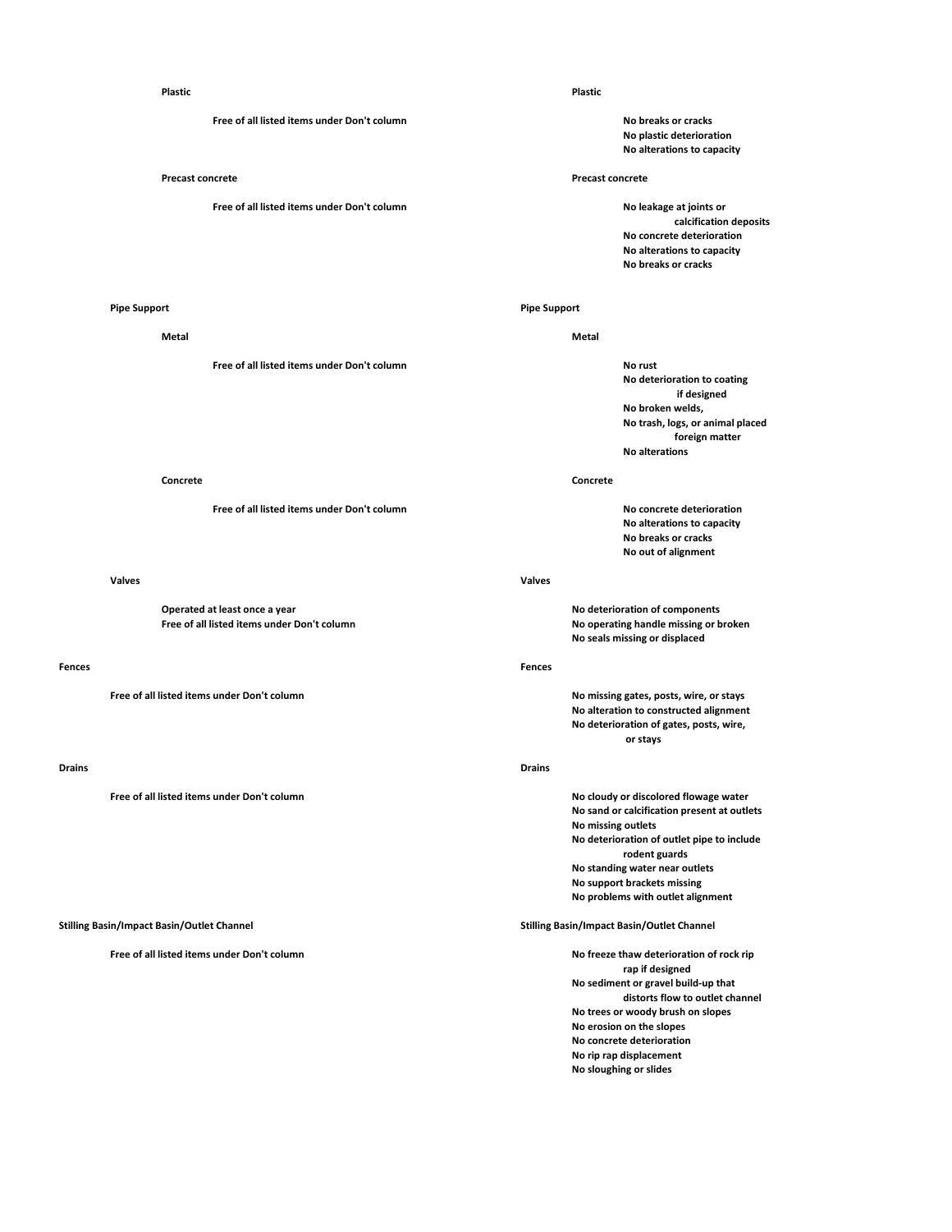**Free of all listed items under Don't column No breaks or cracks**

**Free of all listed items under Don't column No leakage at joints or No leakage at joints or** 

**Free of all listed items under Don't column No rust** 

**Free of all listed items under Don't column No concrete deterioration**

## **Valves Valves**

**Operated at least once a year No deterioration of components**

### **Fences Fences**

**Free of all listed items under Don't column No missing gates, posts, wire, or stays**

## **Drains Drains**

**Free of all listed items under Don't column No cloudy or discolored flowage water**

# **Stilling Basin/Impact Basin/Outlet Channel Stilling Basin/Impact Basin/Outlet Channel**

**Free of all listed items under Don't column Notation and The Convention Convention of rock rip No freeze thaw deterioration of rock rip** 

### **Plastic Plastic**

**No plastic deterioration No alterations to capacity**

# **Precast concrete Precast concrete**

**calcification deposits No concrete deterioration No alterations to capacity No breaks or cracks**

# **Pipe Support Pipe Support**

**Metal Metal**

**No deterioration to coating if designed No broken welds, No trash, logs, or animal placed foreign matter No alterations**

### **Concrete Concrete**

**No alterations to capacity No breaks or cracks No out of alignment** 

**No operating handle missing or broken No seals missing or displaced**

**No alteration to constructed alignment No deterioration of gates, posts, wire, or stays**

**No sand or calcification present at outlets No missing outlets No deterioration of outlet pipe to include rodent guards No standing water near outlets No support brackets missing No problems with outlet alignment**

**rap if designed No sediment or gravel build-up that distorts flow to outlet channel No trees or woody brush on slopes No erosion on the slopes No concrete deterioration No rip rap displacement No sloughing or slides**